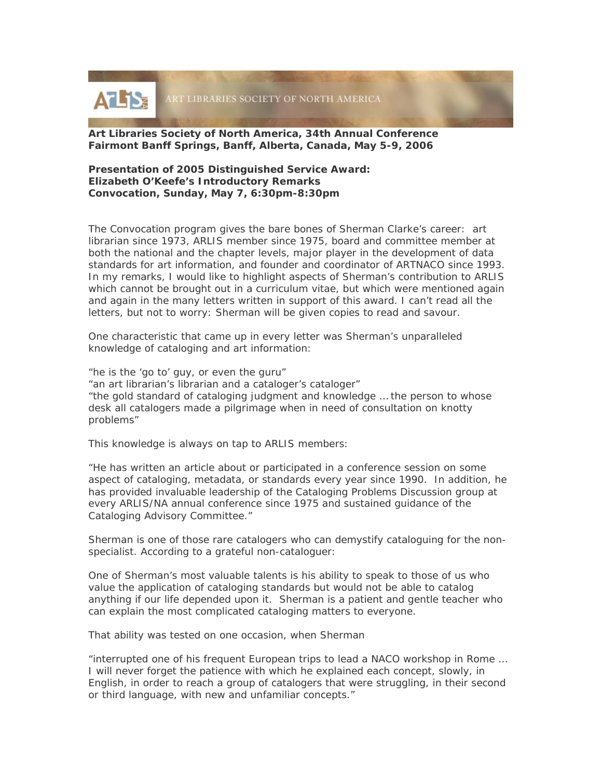

# **Art Libraries Society of North America, 34th Annual Conference Fairmont Banff Springs, Banff, Alberta, Canada, May 5-9, 2006**

# **Presentation of 2005 Distinguished Service Award: Elizabeth O'Keefe's Introductory Remarks Convocation, Sunday, May 7, 6:30pm-8:30pm**

The Convocation program gives the bare bones of Sherman Clarke's career: art librarian since 1973, ARLIS member since 1975, board and committee member at both the national and the chapter levels, major player in the development of data standards for art information, and founder and coordinator of ARTNACO since 1993. In my remarks, I would like to highlight aspects of Sherman's contribution to ARLIS which cannot be brought out in a curriculum vitae, but which were mentioned again and again in the many letters written in support of this award. I can't read all the letters, but not to worry: Sherman will be given copies to read and savour.

One characteristic that came up in every letter was Sherman's unparalleled knowledge of cataloging and art information:

*"he is the 'go to' guy, or even the guru" "an art librarian's librarian and a cataloger's cataloger" "the gold standard of cataloging judgment and knowledge … the person to whose desk all catalogers made a pilgrimage when in need of consultation on knotty problems"* 

This knowledge is always on tap to ARLIS members:

*"He has written an article about or participated in a conference session on some aspect of cataloging, metadata, or standards every year since 1990. In addition, he has provided invaluable leadership of the Cataloging Problems Discussion group at every ARLIS/NA annual conference since 1975 and sustained guidance of the Cataloging Advisory Committee."* 

Sherman is one of those rare catalogers who can demystify cataloguing for the nonspecialist. According to a grateful non-cataloguer:

*One of Sherman's most valuable talents is his ability to speak to those of us who value the application of cataloging standards but would not be able to catalog anything if our life depended upon it. Sherman is a patient and gentle teacher who can explain the most complicated cataloging matters to everyone.* 

That ability was tested on one occasion, when Sherman

*"interrupted one of his frequent European trips to lead a NACO workshop in Rome … I will never forget the patience with which he explained each concept, slowly, in English, in order to reach a group of catalogers that were struggling, in their second or third language, with new and unfamiliar concepts."*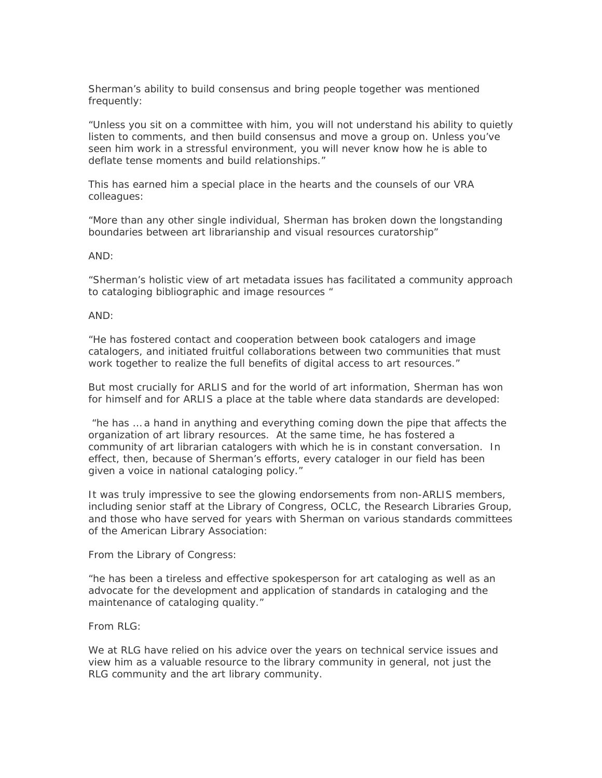Sherman's ability to build consensus and bring people together was mentioned frequently:

*"Unless you sit on a committee with him, you will not understand his ability to quietly listen to comments, and then build consensus and move a group on. Unless you've seen him work in a stressful environment, you will never know how he is able to deflate tense moments and build relationships."* 

This has earned him a special place in the hearts and the counsels of our VRA colleagues:

*"More than any other single individual, Sherman has broken down the longstanding boundaries between art librarianship and visual resources curatorship"* 

#### *AND:*

*"Sherman's holistic view of art metadata issues has facilitated a community approach to cataloging bibliographic and image resources "* 

### *AND:*

*"He has fostered contact and cooperation between book catalogers and image catalogers, and initiated fruitful collaborations between two communities that must work together to realize the full benefits of digital access to art resources."* 

But most crucially for ARLIS and for the world of art information, Sherman has won for himself and for ARLIS a place at the table where data standards are developed:

 *"he has … a hand in anything and everything coming down the pipe that affects the organization of art library resources. At the same time, he has fostered a community of art librarian catalogers with which he is in constant conversation. In effect, then, because of Sherman's efforts, every cataloger in our field has been given a voice in national cataloging policy."* 

It was truly impressive to see the glowing endorsements from non-ARLIS members, including senior staff at the Library of Congress, OCLC, the Research Libraries Group, and those who have served for years with Sherman on various standards committees of the American Library Association:

From the Library of Congress:

*"he has been a tireless and effective spokesperson for art cataloging as well as an advocate for the development and application of standards in cataloging and the maintenance of cataloging quality."* 

# From RLG:

*We at RLG have relied on his advice over the years on technical service issues and view him as a valuable resource to the library community in general, not just the RLG community and the art library community.*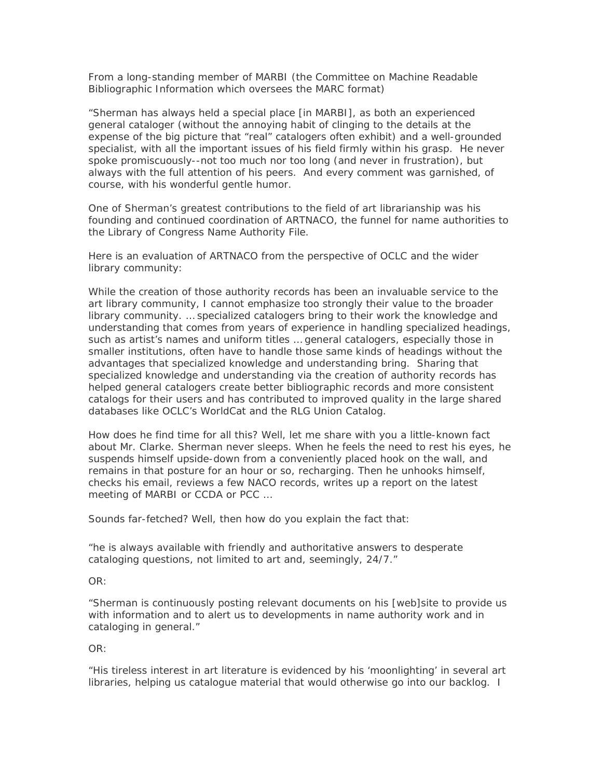From a long-standing member of MARBI (the Committee on Machine Readable Bibliographic Information which oversees the MARC format)

*"Sherman has always held a special place [in MARBI], as both an experienced general cataloger (without the annoying habit of clinging to the details at the expense of the big picture that "real" catalogers often exhibit) and a well-grounded specialist, with all the important issues of his field firmly within his grasp. He never spoke promiscuously--not too much nor too long (and never in frustration), but always with the full attention of his peers. And every comment was garnished, of course, with his wonderful gentle humor.* 

One of Sherman's greatest contributions to the field of art librarianship was his founding and continued coordination of ARTNACO, the funnel for name authorities to the Library of Congress Name Authority File.

Here is an evaluation of ARTNACO from the perspective of OCLC and the wider library community:

*While the creation of those authority records has been an invaluable service to the art library community, I cannot emphasize too strongly their value to the broader library community. … specialized catalogers bring to their work the knowledge and understanding that comes from years of experience in handling specialized headings, such as artist's names and uniform titles … general catalogers, especially those in smaller institutions, often have to handle those same kinds of headings without the advantages that specialized knowledge and understanding bring. Sharing that specialized knowledge and understanding via the creation of authority records has helped general catalogers create better bibliographic records and more consistent catalogs for their users and has contributed to improved quality in the large shared databases like OCLC's WorldCat and the RLG Union Catalog.* 

How does he find time for all this? Well, let me share with you a little-known fact about Mr. Clarke. Sherman never sleeps. When he feels the need to rest his eyes, he suspends himself upside-down from a conveniently placed hook on the wall, and remains in that posture for an hour or so, recharging. Then he unhooks himself, checks his email, reviews a few NACO records, writes up a report on the latest meeting of MARBI or CCDA or PCC …

Sounds far-fetched? Well, then how do you explain the fact that:

*"he is always available with friendly and authoritative answers to desperate cataloging questions, not limited to art and, seemingly, 24/7."* 

*OR:* 

*"Sherman is continuously posting relevant documents on his [web]site to provide us with information and to alert us to developments in name authority work and in cataloging in general."* 

OR:

*"His tireless interest in art literature is evidenced by his 'moonlighting' in several art libraries, helping us catalogue material that would otherwise go into our backlog. I*